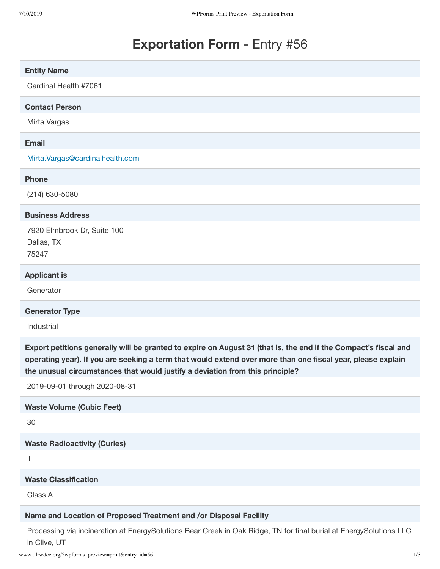# **Exportation Form** - Entry #56

| <b>Entity Name</b>                                                                                                                                                                                                                                                                                              |
|-----------------------------------------------------------------------------------------------------------------------------------------------------------------------------------------------------------------------------------------------------------------------------------------------------------------|
| Cardinal Health #7061                                                                                                                                                                                                                                                                                           |
| <b>Contact Person</b>                                                                                                                                                                                                                                                                                           |
| Mirta Vargas                                                                                                                                                                                                                                                                                                    |
| <b>Email</b>                                                                                                                                                                                                                                                                                                    |
| Mirta.Vargas@cardinalhealth.com                                                                                                                                                                                                                                                                                 |
| <b>Phone</b>                                                                                                                                                                                                                                                                                                    |
| $(214)$ 630-5080                                                                                                                                                                                                                                                                                                |
| <b>Business Address</b>                                                                                                                                                                                                                                                                                         |
| 7920 Elmbrook Dr, Suite 100<br>Dallas, TX<br>75247                                                                                                                                                                                                                                                              |
| <b>Applicant is</b>                                                                                                                                                                                                                                                                                             |
| Generator                                                                                                                                                                                                                                                                                                       |
|                                                                                                                                                                                                                                                                                                                 |
| <b>Generator Type</b>                                                                                                                                                                                                                                                                                           |
| Industrial                                                                                                                                                                                                                                                                                                      |
| Export petitions generally will be granted to expire on August 31 (that is, the end if the Compact's fiscal and<br>operating year). If you are seeking a term that would extend over more than one fiscal year, please explain<br>the unusual circumstances that would justify a deviation from this principle? |
| 2019-09-01 through 2020-08-31                                                                                                                                                                                                                                                                                   |
| <b>Waste Volume (Cubic Feet)</b>                                                                                                                                                                                                                                                                                |
| 30                                                                                                                                                                                                                                                                                                              |
| <b>Waste Radioactivity (Curies)</b>                                                                                                                                                                                                                                                                             |
| 1                                                                                                                                                                                                                                                                                                               |
| <b>Waste Classification</b>                                                                                                                                                                                                                                                                                     |
| Class A                                                                                                                                                                                                                                                                                                         |
| Name and Location of Proposed Treatment and /or Disposal Facility                                                                                                                                                                                                                                               |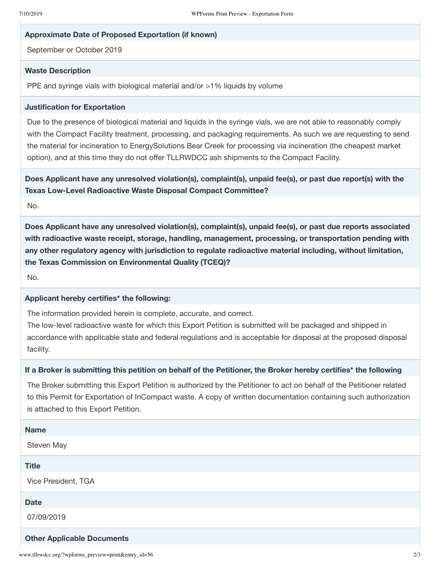### **Approximate Date of Proposed Exportation (if known)**

September or October 2019

#### **Waste Description**

PPE and syringe vials with biological material and/or >1% liquids by volume

### **Justification for Exportation**

Due to the presence of biological material and liquids in the syringe vials, we are not able to reasonably comply with the Compact Facility treatment, processing, and packaging requirements. As such we are requesting to send the material for incineration to EnergySolutions Bear Creek for processing via incineration (the cheapest market option), and at this time they do not offer TLLRWDCC ash shipments to the Compact Facility.

**Does Applicant have any unresolved violation(s), complaint(s), unpaid fee(s), or past due report(s) with the Texas Low-Level Radioactive Waste Disposal Compact Committee?**

No.

**Does Applicant have any unresolved violation(s), complaint(s), unpaid fee(s), or past due reports associated with radioactive waste receipt, storage, handling, management, processing, or transportation pending with any other regulatory agency with jurisdiction to regulate radioactive material including, without limitation, the Texas Commission on Environmental Quality (TCEQ)?**

No.

# **Applicant hereby certifies\* the following:**

The information provided herein is complete, accurate, and correct.

The low-level radioactive waste for which this Export Petition is submitted will be packaged and shipped in accordance with applicable state and federal regulations and is acceptable for disposal at the proposed disposal facility.

# If a Broker is submitting this petition on behalf of the Petitioner, the Broker hereby certifies\* the following

The Broker submitting this Export Petition is authorized by the Petitioner to act on behalf of the Petitioner related to this Permit for Exportation of InCompact waste. A copy of written documentation containing such authorization is attached to this Export Petition.

| <b>Name</b>                       |
|-----------------------------------|
| Steven May                        |
| <b>Title</b>                      |
| Vice President, TGA               |
| <b>Date</b>                       |
| 07/09/2019                        |
| <b>Other Applicable Documents</b> |